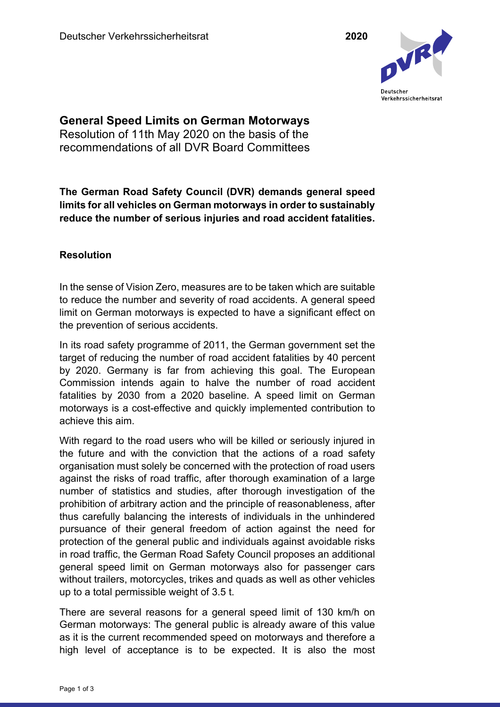

**General Speed Limits on German Motorways**  Resolution of 11th May 2020 on the basis of the recommendations of all DVR Board Committees

**The German Road Safety Council (DVR) demands general speed limits for all vehicles on German motorways in order to sustainably reduce the number of serious injuries and road accident fatalities.** 

## **Resolution**

In the sense of Vision Zero, measures are to be taken which are suitable to reduce the number and severity of road accidents. A general speed limit on German motorways is expected to have a significant effect on the prevention of serious accidents.

In its road safety programme of 2011, the German government set the target of reducing the number of road accident fatalities by 40 percent by 2020. Germany is far from achieving this goal. The European Commission intends again to halve the number of road accident fatalities by 2030 from a 2020 baseline. A speed limit on German motorways is a cost-effective and quickly implemented contribution to achieve this aim.

With regard to the road users who will be killed or seriously injured in the future and with the conviction that the actions of a road safety organisation must solely be concerned with the protection of road users against the risks of road traffic, after thorough examination of a large number of statistics and studies, after thorough investigation of the prohibition of arbitrary action and the principle of reasonableness, after thus carefully balancing the interests of individuals in the unhindered pursuance of their general freedom of action against the need for protection of the general public and individuals against avoidable risks in road traffic, the German Road Safety Council proposes an additional general speed limit on German motorways also for passenger cars without trailers, motorcycles, trikes and quads as well as other vehicles up to a total permissible weight of 3.5 t.

There are several reasons for a general speed limit of 130 km/h on German motorways: The general public is already aware of this value as it is the current recommended speed on motorways and therefore a high level of acceptance is to be expected. It is also the most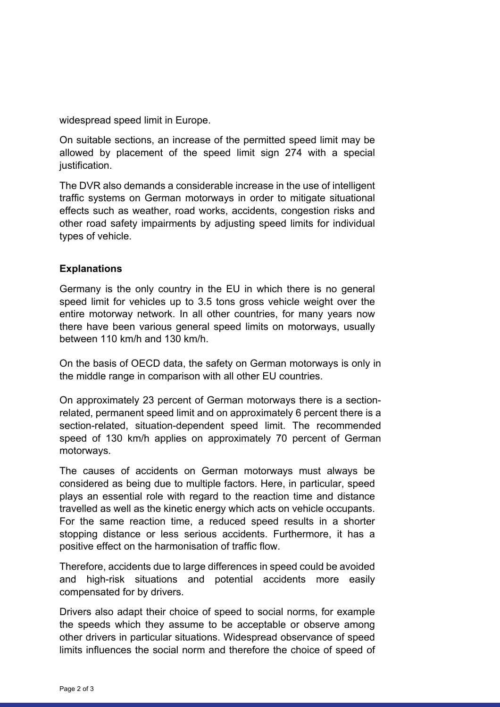widespread speed limit in Europe.

On suitable sections, an increase of the permitted speed limit may be allowed by placement of the speed limit sign 274 with a special justification.

The DVR also demands a considerable increase in the use of intelligent traffic systems on German motorways in order to mitigate situational effects such as weather, road works, accidents, congestion risks and other road safety impairments by adjusting speed limits for individual types of vehicle.

## **Explanations**

Germany is the only country in the EU in which there is no general speed limit for vehicles up to 3.5 tons gross vehicle weight over the entire motorway network. In all other countries, for many years now there have been various general speed limits on motorways, usually between 110 km/h and 130 km/h.

On the basis of OECD data, the safety on German motorways is only in the middle range in comparison with all other EU countries.

On approximately 23 percent of German motorways there is a sectionrelated, permanent speed limit and on approximately 6 percent there is a section-related, situation-dependent speed limit. The recommended speed of 130 km/h applies on approximately 70 percent of German motorways.

The causes of accidents on German motorways must always be considered as being due to multiple factors. Here, in particular, speed plays an essential role with regard to the reaction time and distance travelled as well as the kinetic energy which acts on vehicle occupants. For the same reaction time, a reduced speed results in a shorter stopping distance or less serious accidents. Furthermore, it has a positive effect on the harmonisation of traffic flow.

Therefore, accidents due to large differences in speed could be avoided and high-risk situations and potential accidents more easily compensated for by drivers.

Drivers also adapt their choice of speed to social norms, for example the speeds which they assume to be acceptable or observe among other drivers in particular situations. Widespread observance of speed limits influences the social norm and therefore the choice of speed of